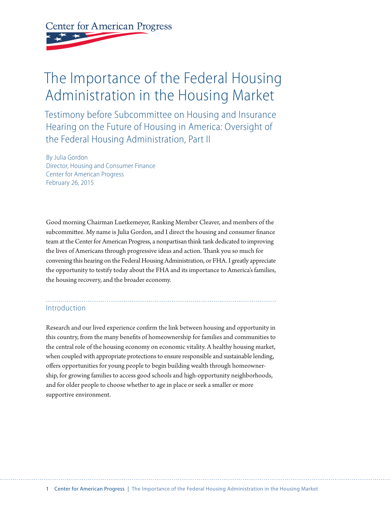**Center for American Progress** 

# The Importance of the Federal Housing Administration in the Housing Market

Testimony before Subcommittee on Housing and Insurance Hearing on the Future of Housing in America: Oversight of the Federal Housing Administration, Part II

By Julia Gordon Director, Housing and Consumer Finance Center for American Progress February 26, 2015

Good morning Chairman Luetkemeyer, Ranking Member Cleaver, and members of the subcommittee. My name is Julia Gordon, and I direct the housing and consumer finance team at the Center for American Progress, a nonpartisan think tank dedicated to improving the lives of Americans through progressive ideas and action. Thank you so much for convening this hearing on the Federal Housing Administration, or FHA. I greatly appreciate the opportunity to testify today about the FHA and its importance to America's families, the housing recovery, and the broader economy.

# Introduction

Research and our lived experience confirm the link between housing and opportunity in this country, from the many benefits of homeownership for families and communities to the central role of the housing economy on economic vitality. A healthy housing market, when coupled with appropriate protections to ensure responsible and sustainable lending, offers opportunities for young people to begin building wealth through homeownership, for growing families to access good schools and high-opportunity neighborhoods, and for older people to choose whether to age in place or seek a smaller or more supportive environment.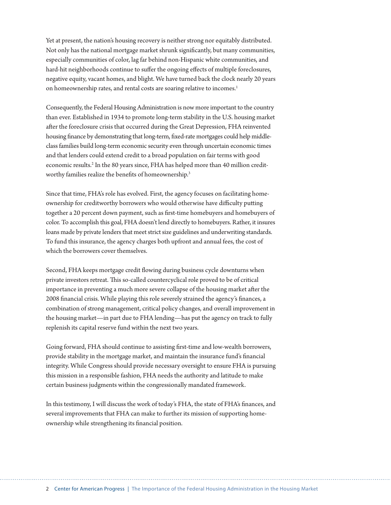Yet at present, the nation's housing recovery is neither strong nor equitably distributed. Not only has the national mortgage market shrunk significantly, but many communities, especially communities of color, lag far behind non-Hispanic white communities, and hard-hit neighborhoods continue to suffer the ongoing effects of multiple foreclosures, negative equity, vacant homes, and blight. We have turned back the clock nearly 20 years on homeownership rates, and rental costs are soaring relative to incomes.<sup>1</sup>

Consequently, the Federal Housing Administration is now more important to the country than ever. Established in 1934 to promote long-term stability in the U.S. housing market after the foreclosure crisis that occurred during the Great Depression, FHA reinvented housing finance by demonstrating that long-term, fixed-rate mortgages could help middleclass families build long-term economic security even through uncertain economic times and that lenders could extend credit to a broad population on fair terms with good economic results.<sup>2</sup> In the 80 years since, FHA has helped more than 40 million creditworthy families realize the benefits of homeownership.<sup>3</sup>

Since that time, FHA's role has evolved. First, the agency focuses on facilitating homeownership for creditworthy borrowers who would otherwise have difficulty putting together a 20 percent down payment, such as first-time homebuyers and homebuyers of color. To accomplish this goal, FHA doesn't lend directly to homebuyers. Rather, it insures loans made by private lenders that meet strict size guidelines and underwriting standards. To fund this insurance, the agency charges both upfront and annual fees, the cost of which the borrowers cover themselves.

Second, FHA keeps mortgage credit flowing during business cycle downturns when private investors retreat. This so-called countercyclical role proved to be of critical importance in preventing a much more severe collapse of the housing market after the 2008 financial crisis. While playing this role severely strained the agency's finances, a combination of strong management, critical policy changes, and overall improvement in the housing market—in part due to FHA lending—has put the agency on track to fully replenish its capital reserve fund within the next two years.

Going forward, FHA should continue to assisting first-time and low-wealth borrowers, provide stability in the mortgage market, and maintain the insurance fund's financial integrity. While Congress should provide necessary oversight to ensure FHA is pursuing this mission in a responsible fashion, FHA needs the authority and latitude to make certain business judgments within the congressionally mandated framework.

In this testimony, I will discuss the work of today's FHA, the state of FHA's finances, and several improvements that FHA can make to further its mission of supporting homeownership while strengthening its financial position.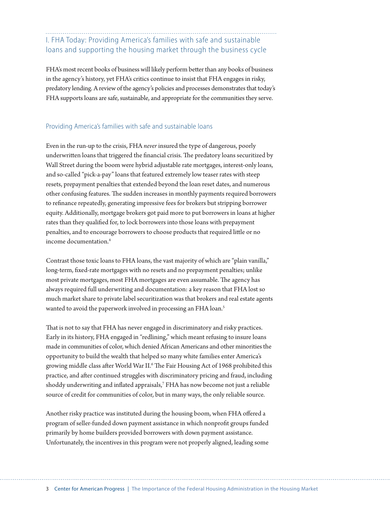I. FHA Today: Providing America's families with safe and sustainable loans and supporting the housing market through the business cycle

FHA's most recent books of business will likely perform better than any books of business in the agency's history, yet FHA's critics continue to insist that FHA engages in risky, predatory lending. A review of the agency's policies and processes demonstrates that today's FHA supports loans are safe, sustainable, and appropriate for the communities they serve.

#### Providing America's families with safe and sustainable loans

Even in the run-up to the crisis, FHA *never* insured the type of dangerous, poorly underwritten loans that triggered the financial crisis. The predatory loans securitized by Wall Street during the boom were hybrid adjustable rate mortgages, interest-only loans, and so-called "pick-a-pay" loans that featured extremely low teaser rates with steep resets, prepayment penalties that extended beyond the loan reset dates, and numerous other confusing features. The sudden increases in monthly payments required borrowers to refinance repeatedly, generating impressive fees for brokers but stripping borrower equity. Additionally, mortgage brokers got paid more to put borrowers in loans at higher rates than they qualified for, to lock borrowers into those loans with prepayment penalties, and to encourage borrowers to choose products that required little or no income documentation<sup>4</sup>

Contrast those toxic loans to FHA loans, the vast majority of which are "plain vanilla," long-term, fixed-rate mortgages with no resets and no prepayment penalties; unlike most private mortgages, most FHA mortgages are even assumable. The agency has always required full underwriting and documentation: a key reason that FHA lost so much market share to private label securitization was that brokers and real estate agents wanted to avoid the paperwork involved in processing an FHA loan.<sup>5</sup>

That is not to say that FHA has never engaged in discriminatory and risky practices. Early in its history, FHA engaged in "redlining," which meant refusing to insure loans made in communities of color, which denied African Americans and other minorities the opportunity to build the wealth that helped so many white families enter America's growing middle class after World War II.<sup>6</sup> The Fair Housing Act of 1968 prohibited this practice, and after continued struggles with discriminatory pricing and fraud, including shoddy underwriting and inflated appraisals,7 FHA has now become not just a reliable source of credit for communities of color, but in many ways, the only reliable source.

Another risky practice was instituted during the housing boom, when FHA offered a program of seller-funded down payment assistance in which nonprofit groups funded primarily by home builders provided borrowers with down payment assistance. Unfortunately, the incentives in this program were not properly aligned, leading some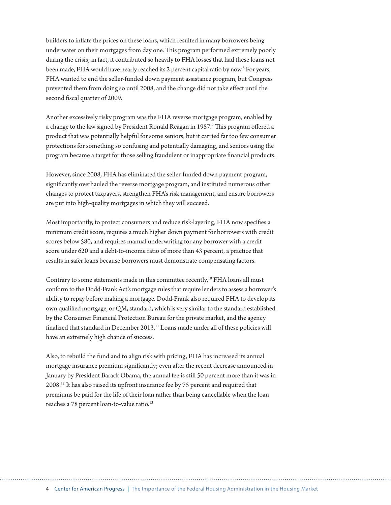builders to inflate the prices on these loans, which resulted in many borrowers being underwater on their mortgages from day one. This program performed extremely poorly during the crisis; in fact, it contributed so heavily to FHA losses that had these loans not been made, FHA would have nearly reached its 2 percent capital ratio by now.<sup>8</sup> For years, FHA wanted to end the seller-funded down payment assistance program, but Congress prevented them from doing so until 2008, and the change did not take effect until the second fiscal quarter of 2009.

Another excessively risky program was the FHA reverse mortgage program, enabled by a change to the law signed by President Ronald Reagan in 1987.<sup>9</sup> This program offered a product that was potentially helpful for some seniors, but it carried far too few consumer protections for something so confusing and potentially damaging, and seniors using the program became a target for those selling fraudulent or inappropriate financial products.

However, since 2008, FHA has eliminated the seller-funded down payment program, significantly overhauled the reverse mortgage program, and instituted numerous other changes to protect taxpayers, strengthen FHA's risk management, and ensure borrowers are put into high-quality mortgages in which they will succeed.

Most importantly, to protect consumers and reduce risk-layering, FHA now specifies a minimum credit score, requires a much higher down payment for borrowers with credit scores below 580, and requires manual underwriting for any borrower with a credit score under 620 and a debt-to-income ratio of more than 43 percent, a practice that results in safer loans because borrowers must demonstrate compensating factors.

Contrary to some statements made in this committee recently,<sup>10</sup> FHA loans all must conform to the Dodd-Frank Act's mortgage rules that require lenders to assess a borrower's ability to repay before making a mortgage. Dodd-Frank also required FHA to develop its own qualified mortgage, or QM, standard, which is very similar to the standard established by the Consumer Financial Protection Bureau for the private market, and the agency finalized that standard in December 2013.11 Loans made under all of these policies will have an extremely high chance of success.

Also, to rebuild the fund and to align risk with pricing, FHA has increased its annual mortgage insurance premium significantly; even after the recent decrease announced in January by President Barack Obama, the annual fee is still 50 percent more than it was in 2008.12 It has also raised its upfront insurance fee by 75 percent and required that premiums be paid for the life of their loan rather than being cancellable when the loan reaches a 78 percent loan-to-value ratio.<sup>13</sup>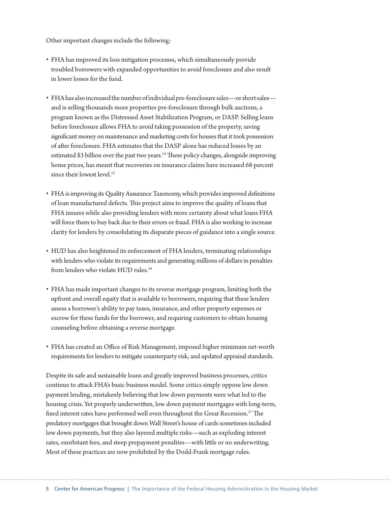Other important changes include the following:

- FHA has improved its loss mitigation processes, which simultaneously provide troubled borrowers with expanded opportunities to avoid foreclosure and also result in lower losses for the fund.
- FHA has also increased the number of individual pre-foreclosure sales—or short sales and is selling thousands more properties pre-foreclosure through bulk auctions, a program known as the Distressed Asset Stabilization Program, or DASP. Selling loans before foreclosure allows FHA to avoid taking possession of the property, saving significant money on maintenance and marketing costs for houses that it took possession of after foreclosure. FHA estimates that the DASP alone has reduced losses by an estimated \$3 billion over the past two years.<sup>14</sup> These policy changes, alongside improving home prices, has meant that recoveries on insurance claims have increased 68 percent since their lowest level.<sup>15</sup>
- FHA is improving its Quality Assurance Taxonomy, which provides improved definitions of loan manufactured defects. This project aims to improve the quality of loans that FHA insures while also providing lenders with more certainty about what loans FHA will force them to buy back due to their errors or fraud. FHA is also working to increase clarity for lenders by consolidating its disparate pieces of guidance into a single source.
- HUD has also heightened its enforcement of FHA lenders, terminating relationships with lenders who violate its requirements and generating millions of dollars in penalties from lenders who violate HUD rules.<sup>16</sup>
- FHA has made important changes to its reverse mortgage program, limiting both the upfront and overall equity that is available to borrowers, requiring that these lenders assess a borrower's ability to pay taxes, insurance, and other property expenses or escrow for these funds for the borrower, and requiring customers to obtain housing counseling before obtaining a reverse mortgage.
- FHA has created an Office of Risk Management, imposed higher minimum net-worth requirements for lenders to mitigate counterparty risk, and updated appraisal standards.

Despite its safe and sustainable loans and greatly improved business processes, critics continue to attack FHA's basic business model. Some critics simply oppose low down payment lending, mistakenly believing that low down payments were what led to the housing crisis. Yet properly underwritten, low down payment mortgages with long-term, fixed interest rates have performed well even throughout the Great Recession.<sup>17</sup> The predatory mortgages that brought down Wall Street's house of cards sometimes included low down payments, but they also layered multiple risks—such as exploding interest rates, exorbitant fees, and steep prepayment penalties—with little or no underwriting. Most of these practices are now prohibited by the Dodd-Frank mortgage rules.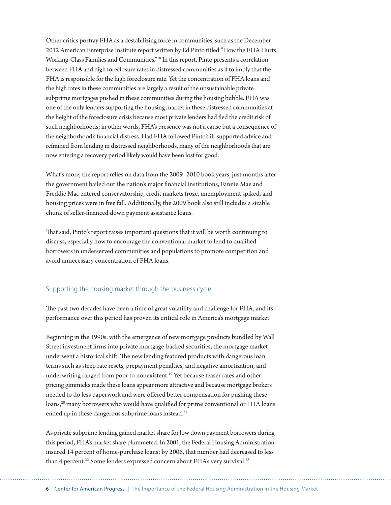Other critics portray FHA as a destabilizing force in communities, such as the December 2012 American Enterprise Institute report written by Ed Pinto titled "How the FHA Hurts Working-Class Families and Communities."18 In this report, Pinto presents a correlation between FHA and high foreclosure rates in distressed communities as if to imply that the FHA is responsible for the high foreclosure rate. Yet the concentration of FHA loans and the high rates in these communities are largely a result of the unsustainable private subprime mortgages pushed in these communities during the housing bubble. FHA was one of the only lenders supporting the housing market in these distressed communities at the height of the foreclosure crisis because most private lenders had fled the credit risk of such neighborhoods; in other words, FHA's presence was not a cause but a consequence of the neighborhood's financial distress. Had FHA followed Pinto's ill-supported advice and refrained from lending in distressed neighborhoods, many of the neighborhoods that are now entering a recovery period likely would have been lost for good.

What's more, the report relies on data from the 2009–2010 book years, just months after the government bailed out the nation's major financial institutions, Fannie Mae and Freddie Mac entered conservatorship, credit markets froze, unemployment spiked, and housing prices were in free fall. Additionally, the 2009 book also still includes a sizable chunk of seller-financed down payment assistance loans.

That said, Pinto's report raises important questions that it will be worth continuing to discuss, especially how to encourage the conventional market to lend to qualified borrowers in underserved communities and populations to promote competition and avoid unnecessary concentration of FHA loans.

#### Supporting the housing market through the business cycle

The past two decades have been a time of great volatility and challenge for FHA, and its performance over this period has proven its critical role in America's mortgage market.

Beginning in the 1990s, with the emergence of new mortgage products bundled by Wall Street investment firms into private mortgage-backed securities, the mortgage market underwent a historical shift. The new lending featured products with dangerous loan terms such as steep rate resets, prepayment penalties, and negative amortization, and underwriting ranged from poor to nonexistent.<sup>19</sup> Yet because teaser rates and other pricing gimmicks made these loans appear more attractive and because mortgage brokers needed to do less paperwork and were offered better compensation for pushing these loans,<sup>20</sup> many borrowers who would have qualified for prime conventional or FHA loans ended up in these dangerous subprime loans instead.<sup>21</sup>

As private subprime lending gained market share for low down payment borrowers during this period, FHA's market share plummeted. In 2001, the Federal Housing Administration insured 14 percent of home-purchase loans; by 2006, that number had decreased to less than 4 percent.<sup>22</sup> Some lenders expressed concern about FHA's very survival.<sup>23</sup>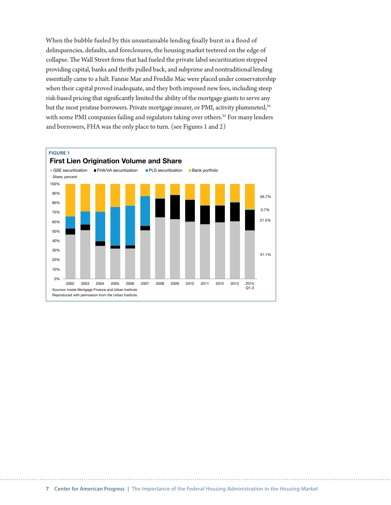When the bubble fueled by this unsustainable lending finally burst in a flood of delinquencies, defaults, and foreclosures, the housing market teetered on the edge of collapse. The Wall Street firms that had fueled the private label securitization stopped providing capital, banks and thrifts pulled back, and subprime and nontraditional lending essentially came to a halt. Fannie Mae and Freddie Mac were placed under conservatorship when their capital proved inadequate, and they both imposed new fees, including steep risk-based pricing that significantly limited the ability of the mortgage giants to serve any but the most pristine borrowers. Private mortgage insurer, or PMI, activity plummeted,<sup>24</sup> with some PMI companies failing and regulators taking over others.<sup>25</sup> For many lenders and borrowers, FHA was the only place to turn. (see Figures 1 and 2)

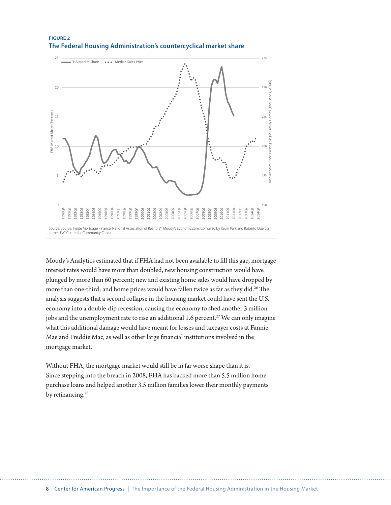

Moody's Analytics estimated that if FHA had not been available to fill this gap, mortgage interest rates would have more than doubled, new housing construction would have plunged by more than 60 percent; new and existing home sales would have dropped by more than one-third; and home prices would have fallen twice as far as they did.<sup>26</sup> The analysis suggests that a second collapse in the housing market could have sent the U.S. economy into a double-dip recession, causing the economy to shed another 3 million jobs and the unemployment rate to rise an additional 1.6 percent.<sup>27</sup> We can only imagine what this additional damage would have meant for losses and taxpayer costs at Fannie Mae and Freddie Mac, as well as other large financial institutions involved in the mortgage market.

Without FHA, the mortgage market would still be in far worse shape than it is. Since stepping into the breach in 2008, FHA has backed more than 5.5 million homepurchase loans and helped another 3.5 million families lower their monthly payments by refinancing.<sup>28</sup>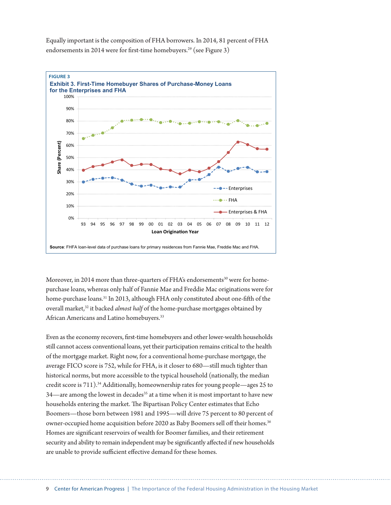Equally important is the composition of FHA borrowers. In 2014, 81 percent of FHA endorsements in 2014 were for first-time homebuyers.<sup>29</sup> (see Figure 3)



Moreover, in 2014 more than three-quarters of FHA's endorsements $30$  were for homepurchase loans, whereas only half of Fannie Mae and Freddie Mac originations were for home-purchase loans.31 In 2013, although FHA only constituted about one-fifth of the overall market,<sup>32</sup> it backed *almost half* of the home-purchase mortgages obtained by African Americans and Latino homebuyers.<sup>33</sup>

Even as the economy recovers, first-time homebuyers and other lower-wealth households still cannot access conventional loans, yet their participation remains critical to the health of the mortgage market. Right now, for a conventional home-purchase mortgage, the average FICO score is 752, while for FHA, is it closer to 680—still much tighter than historical norms, but more accessible to the typical household (nationally, the median credit score is 711).34 Additionally, homeownership rates for young people—ages 25 to 34—are among the lowest in decades<sup>35</sup> at a time when it is most important to have new households entering the market. The Bipartisan Policy Center estimates that Echo Boomers—those born between 1981 and 1995—will drive 75 percent to 80 percent of owner-occupied home acquisition before 2020 as Baby Boomers sell off their homes.<sup>36</sup> Homes are significant reservoirs of wealth for Boomer families, and their retirement security and ability to remain independent may be significantly affected if new households are unable to provide sufficient effective demand for these homes.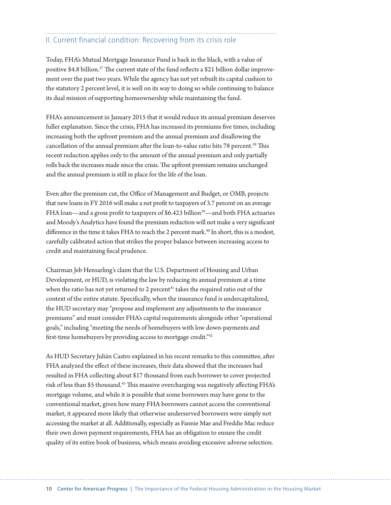## II. Current financial condition: Recovering from its crisis role

Today, FHA's Mutual Mortgage Insurance Fund is back in the black, with a value of positive \$4.8 billion.37 The current state of the fund reflects a \$21 billion dollar improvement over the past two years. While the agency has not yet rebuilt its capital cushion to the statutory 2 percent level, it is well on its way to doing so while continuing to balance its dual mission of supporting homeownership while maintaining the fund.

FHA's announcement in January 2015 that it would reduce its annual premium deserves fuller explanation. Since the crisis, FHA has increased its premiums five times, including increasing both the upfront premium and the annual premium and disallowing the cancellation of the annual premium after the loan-to-value ratio hits 78 percent.<sup>38</sup> This recent reduction applies only to the amount of the annual premium and only partially rolls back the increases made since the crisis. The upfront premium remains unchanged and the annual premium is still in place for the life of the loan.

Even after the premium cut, the Office of Management and Budget, or OMB, projects that new loans in FY 2016 will make a net profit to taxpayers of 3.7 percent on an average FHA loan—and a gross profit to taxpayers of  $$6.423$  billion<sup>39</sup>—and both FHA actuaries and Moody's Analytics have found the premium reduction will not make a very significant difference in the time it takes FHA to reach the 2 percent mark.<sup>40</sup> In short, this is a modest, carefully calibrated action that strikes the proper balance between increasing access to credit and maintaining fiscal prudence.

Chairman Jeb Hensarling's claim that the U.S. Department of Housing and Urban Development, or HUD, is violating the law by reducing its annual premium at a time when the ratio has not yet returned to 2 percent<sup>41</sup> takes the required ratio out of the context of the entire statute. Specifically, when the insurance fund is undercapitalized, the HUD secretary may "propose and implement any adjustments to the insurance premiums" and must consider FHA's capital requirements alongside other "operational goals," including "meeting the needs of homebuyers with low down-payments and first-time homebuyers by providing access to mortgage credit."42

As HUD Secretary Julián Castro explained in his recent remarks to this committee, after FHA analyzed the effect of these increases, their data showed that the increases had resulted in FHA collecting about \$17 thousand from each borrower to cover projected risk of less than \$5 thousand.<sup>43</sup> This massive overcharging was negatively affecting FHA's mortgage volume, and while it is possible that some borrowers may have gone to the conventional market, given how many FHA borrowers cannot access the conventional market, it appeared more likely that otherwise underserved borrowers were simply not accessing the market at all. Additionally, especially as Fannie Mae and Freddie Mac reduce their own down payment requirements, FHA has an obligation to ensure the credit quality of its entire book of business, which means avoiding excessive adverse selection.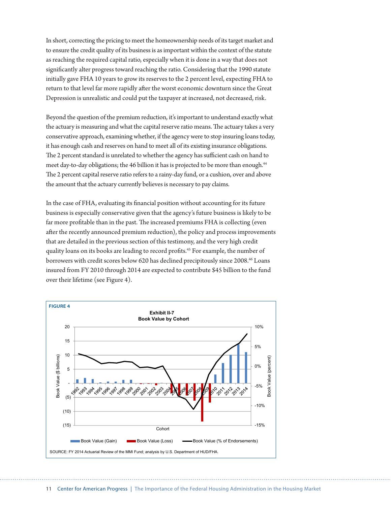In short, correcting the pricing to meet the homeownership needs of its target market and to ensure the credit quality of its business is as important within the context of the statute as reaching the required capital ratio, especially when it is done in a way that does not significantly alter progress toward reaching the ratio. Considering that the 1990 statute initially gave FHA 10 years to grow its reserves to the 2 percent level, expecting FHA to return to that level far more rapidly after the worst economic downturn since the Great Depression is unrealistic and could put the taxpayer at increased, not decreased, risk.

Beyond the question of the premium reduction, it's important to understand exactly what the actuary is measuring and what the capital reserve ratio means. The actuary takes a very conservative approach, examining whether, if the agency were to stop insuring loans today, it has enough cash and reserves on hand to meet all of its existing insurance obligations. The 2 percent standard is unrelated to whether the agency has sufficient cash on hand to meet day-to-day obligations; the 46 billion it has is projected to be more than enough.<sup>44</sup> The 2 percent capital reserve ratio refers to a rainy-day fund, or a cushion, over and above the amount that the actuary currently believes is necessary to pay claims.

In the case of FHA, evaluating its financial position without accounting for its future business is especially conservative given that the agency's future business is likely to be far more profitable than in the past. The increased premiums FHA is collecting (even after the recently announced premium reduction), the policy and process improvements that are detailed in the previous section of this testimony, and the very high credit quality loans on its books are leading to record profits.<sup>45</sup> For example, the number of borrowers with credit scores below 620 has declined precipitously since 2008.<sup>46</sup> Loans insured from FY 2010 through 2014 are expected to contribute \$45 billion to the fund over their lifetime (see Figure 4).

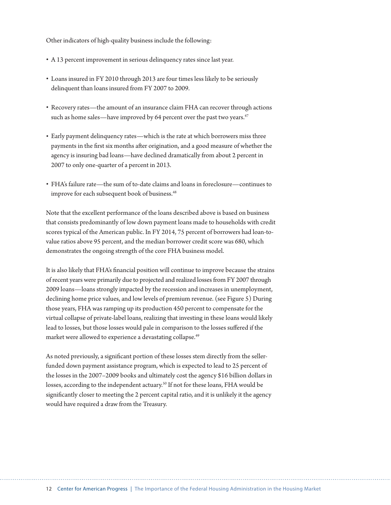Other indicators of high-quality business include the following:

- A 13 percent improvement in serious delinquency rates since last year.
- Loans insured in FY 2010 through 2013 are four times less likely to be seriously delinquent than loans insured from FY 2007 to 2009.
- Recovery rates—the amount of an insurance claim FHA can recover through actions such as home sales—have improved by 64 percent over the past two years.<sup>47</sup>
- Early payment delinquency rates—which is the rate at which borrowers miss three payments in the first six months after origination, and a good measure of whether the agency is insuring bad loans—have declined dramatically from about 2 percent in 2007 to only one-quarter of a percent in 2013.
- FHA's failure rate—the sum of to-date claims and loans in foreclosure—continues to improve for each subsequent book of business.<sup>48</sup>

Note that the excellent performance of the loans described above is based on business that consists predominantly of low down payment loans made to households with credit scores typical of the American public. In FY 2014, 75 percent of borrowers had loan-tovalue ratios above 95 percent, and the median borrower credit score was 680, which demonstrates the ongoing strength of the core FHA business model.

It is also likely that FHA's financial position will continue to improve because the strains of recent years were primarily due to projected and realized losses from FY 2007 through 2009 loans—loans strongly impacted by the recession and increases in unemployment, declining home price values, and low levels of premium revenue. (see Figure 5) During those years, FHA was ramping up its production 450 percent to compensate for the virtual collapse of private-label loans, realizing that investing in these loans would likely lead to losses, but those losses would pale in comparison to the losses suffered if the market were allowed to experience a devastating collapse.<sup>49</sup>

As noted previously, a significant portion of these losses stem directly from the sellerfunded down payment assistance program, which is expected to lead to 25 percent of the losses in the 2007–2009 books and ultimately cost the agency \$16 billion dollars in losses, according to the independent actuary.<sup>50</sup> If not for these loans, FHA would be significantly closer to meeting the 2 percent capital ratio, and it is unlikely it the agency would have required a draw from the Treasury.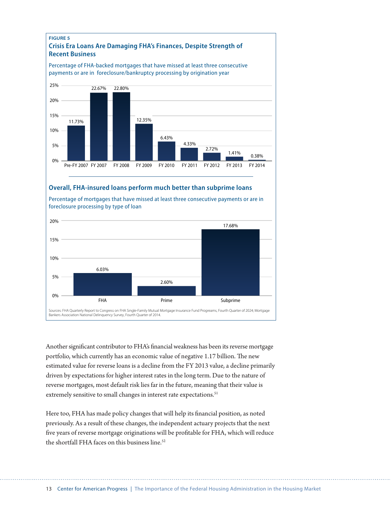

#### **Overall, FHA-insured loans perform much better than subprime loans**



Percentage of mortgages that have missed at least three consecutive payments or are in foreclosure processing by type of loan

Another significant contributor to FHA's financial weakness has been its reverse mortgage portfolio, which currently has an economic value of negative 1.17 billion. The new estimated value for reverse loans is a decline from the FY 2013 value, a decline primarily driven by expectations for higher interest rates in the long term. Due to the nature of reverse mortgages, most default risk lies far in the future, meaning that their value is extremely sensitive to small changes in interest rate expectations.<sup>51</sup>

Here too, FHA has made policy changes that will help its financial position, as noted previously. As a result of these changes, the independent actuary projects that the next five years of reverse mortgage originations will be profitable for FHA, which will reduce the shortfall FHA faces on this business line.<sup>52</sup>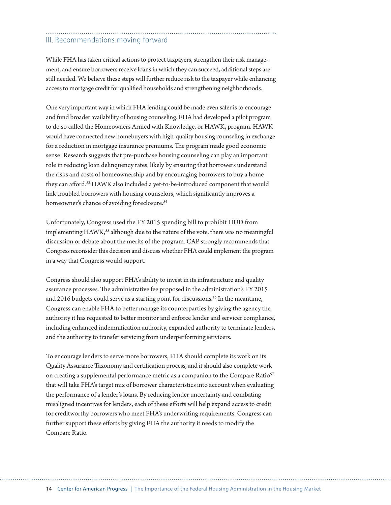# III. Recommendations moving forward

While FHA has taken critical actions to protect taxpayers, strengthen their risk management, and ensure borrowers receive loans in which they can succeed, additional steps are still needed. We believe these steps will further reduce risk to the taxpayer while enhancing access to mortgage credit for qualified households and strengthening neighborhoods.

One very important way in which FHA lending could be made even safer is to encourage and fund broader availability of housing counseling. FHA had developed a pilot program to do so called the Homeowners Armed with Knowledge, or HAWK, program. HAWK would have connected new homebuyers with high-quality housing counseling in exchange for a reduction in mortgage insurance premiums. The program made good economic sense: Research suggests that pre-purchase housing counseling can play an important role in reducing loan delinquency rates, likely by ensuring that borrowers understand the risks and costs of homeownership and by encouraging borrowers to buy a home they can afford.53 HAWK also included a yet-to-be-introduced component that would link troubled borrowers with housing counselors, which significantly improves a homeowner's chance of avoiding foreclosure.<sup>54</sup>

Unfortunately, Congress used the FY 2015 spending bill to prohibit HUD from implementing HAWK,<sup>55</sup> although due to the nature of the vote, there was no meaningful discussion or debate about the merits of the program. CAP strongly recommends that Congress reconsider this decision and discuss whether FHA could implement the program in a way that Congress would support.

Congress should also support FHA's ability to invest in its infrastructure and quality assurance processes. The administrative fee proposed in the administration's FY 2015 and 2016 budgets could serve as a starting point for discussions.<sup>56</sup> In the meantime, Congress can enable FHA to better manage its counterparties by giving the agency the authority it has requested to better monitor and enforce lender and servicer compliance, including enhanced indemnification authority, expanded authority to terminate lenders, and the authority to transfer servicing from underperforming servicers.

To encourage lenders to serve more borrowers, FHA should complete its work on its Quality Assurance Taxonomy and certification process, and it should also complete work on creating a supplemental performance metric as a companion to the Compare Ratio<sup>57</sup> that will take FHA's target mix of borrower characteristics into account when evaluating the performance of a lender's loans. By reducing lender uncertainty and combating misaligned incentives for lenders, each of these efforts will help expand access to credit for creditworthy borrowers who meet FHA's underwriting requirements. Congress can further support these efforts by giving FHA the authority it needs to modify the Compare Ratio.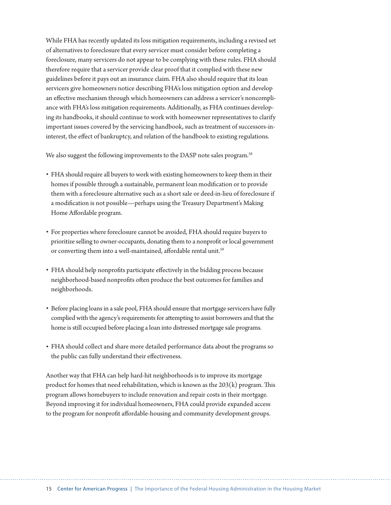While FHA has recently updated its loss mitigation requirements, including a revised set of alternatives to foreclosure that every servicer must consider before completing a foreclosure, many servicers do not appear to be complying with these rules. FHA should therefore require that a servicer provide clear proof that it complied with these new guidelines before it pays out an insurance claim. FHA also should require that its loan servicers give homeowners notice describing FHA's loss mitigation option and develop an effective mechanism through which homeowners can address a servicer's noncompliance with FHA's loss mitigation requirements. Additionally, as FHA continues developing its handbooks, it should continue to work with homeowner representatives to clarify important issues covered by the servicing handbook, such as treatment of successors-ininterest, the effect of bankruptcy, and relation of the handbook to existing regulations.

We also suggest the following improvements to the DASP note sales program.<sup>58</sup>

- FHA should require all buyers to work with existing homeowners to keep them in their homes if possible through a sustainable, permanent loan modification or to provide them with a foreclosure alternative such as a short sale or deed-in-lieu of foreclosure if a modification is not possible—perhaps using the Treasury Department's Making Home Affordable program.
- For properties where foreclosure cannot be avoided, FHA should require buyers to prioritize selling to owner-occupants, donating them to a nonprofit or local government or converting them into a well-maintained, affordable rental unit.<sup>59</sup>
- FHA should help nonprofits participate effectively in the bidding process because neighborhood-based nonprofits often produce the best outcomes for families and neighborhoods.
- Before placing loans in a sale pool, FHA should ensure that mortgage servicers have fully complied with the agency's requirements for attempting to assist borrowers and that the home is still occupied before placing a loan into distressed mortgage sale programs.
- FHA should collect and share more detailed performance data about the programs so the public can fully understand their effectiveness.

Another way that FHA can help hard-hit neighborhoods is to improve its mortgage product for homes that need rehabilitation, which is known as the  $203(k)$  program. This program allows homebuyers to include renovation and repair costs in their mortgage. Beyond improving it for individual homeowners, FHA could provide expanded access to the program for nonprofit affordable-housing and community development groups.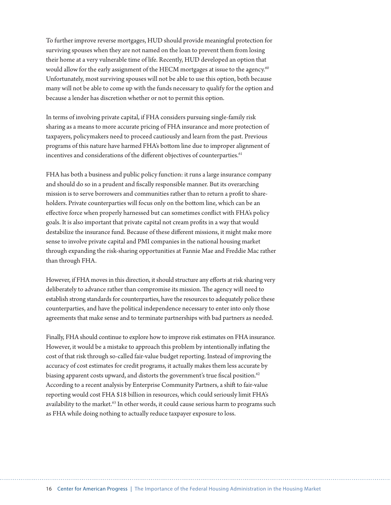To further improve reverse mortgages, HUD should provide meaningful protection for surviving spouses when they are not named on the loan to prevent them from losing their home at a very vulnerable time of life. Recently, HUD developed an option that would allow for the early assignment of the HECM mortgages at issue to the agency.<sup>60</sup> Unfortunately, most surviving spouses will not be able to use this option, both because many will not be able to come up with the funds necessary to qualify for the option and because a lender has discretion whether or not to permit this option.

In terms of involving private capital, if FHA considers pursuing single-family risk sharing as a means to more accurate pricing of FHA insurance and more protection of taxpayers, policymakers need to proceed cautiously and learn from the past. Previous programs of this nature have harmed FHA's bottom line due to improper alignment of incentives and considerations of the different objectives of counterparties.<sup>61</sup>

FHA has both a business and public policy function: it runs a large insurance company and should do so in a prudent and fiscally responsible manner. But its overarching mission is to serve borrowers and communities rather than to return a profit to shareholders. Private counterparties will focus only on the bottom line, which can be an effective force when properly harnessed but can sometimes conflict with FHA's policy goals. It is also important that private capital not cream profits in a way that would destabilize the insurance fund. Because of these different missions, it might make more sense to involve private capital and PMI companies in the national housing market through expanding the risk-sharing opportunities at Fannie Mae and Freddie Mac rather than through FHA.

However, if FHA moves in this direction, it should structure any efforts at risk sharing very deliberately to advance rather than compromise its mission. The agency will need to establish strong standards for counterparties, have the resources to adequately police these counterparties, and have the political independence necessary to enter into only those agreements that make sense and to terminate partnerships with bad partners as needed.

Finally, FHA should continue to explore how to improve risk estimates on FHA insurance. However, it would be a mistake to approach this problem by intentionally inflating the cost of that risk through so-called fair-value budget reporting. Instead of improving the accuracy of cost estimates for credit programs, it actually makes them less accurate by biasing apparent costs upward, and distorts the government's true fiscal position.<sup>62</sup> According to a recent analysis by Enterprise Community Partners, a shift to fair-value reporting would cost FHA \$18 billion in resources, which could seriously limit FHA's availability to the market.<sup>63</sup> In other words, it could cause serious harm to programs such as FHA while doing nothing to actually reduce taxpayer exposure to loss.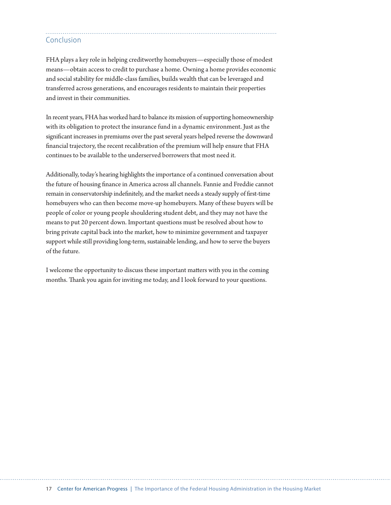### Conclusion

FHA plays a key role in helping creditworthy homebuyers—especially those of modest means—obtain access to credit to purchase a home. Owning a home provides economic and social stability for middle-class families, builds wealth that can be leveraged and transferred across generations, and encourages residents to maintain their properties and invest in their communities.

In recent years, FHA has worked hard to balance its mission of supporting homeownership with its obligation to protect the insurance fund in a dynamic environment. Just as the significant increases in premiums over the past several years helped reverse the downward financial trajectory, the recent recalibration of the premium will help ensure that FHA continues to be available to the underserved borrowers that most need it.

Additionally, today's hearing highlights the importance of a continued conversation about the future of housing finance in America across all channels. Fannie and Freddie cannot remain in conservatorship indefinitely, and the market needs a steady supply of first-time homebuyers who can then become move-up homebuyers. Many of these buyers will be people of color or young people shouldering student debt, and they may not have the means to put 20 percent down. Important questions must be resolved about how to bring private capital back into the market, how to minimize government and taxpayer support while still providing long-term, sustainable lending, and how to serve the buyers of the future.

I welcome the opportunity to discuss these important matters with you in the coming months. Thank you again for inviting me today, and I look forward to your questions.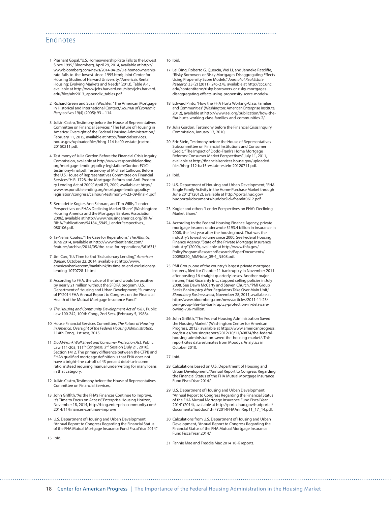### Endnotes

- 1 Prashant Gopal, "U.S. Homeownership Rate Falls to the Lowest Since 1995," Bloomberg, April 29, 2014, available at [http://](http://www.bloomberg.com/news/2014-04-29/u-s-homeownership-rate-falls-to-the-lowest-since-1995.html) [www.bloomberg.com/news/2014-04-29/u-s-homeownership](http://www.bloomberg.com/news/2014-04-29/u-s-homeownership-rate-falls-to-the-lowest-since-1995.html)[rate-falls-to-the-lowest-since-1995.html](http://www.bloomberg.com/news/2014-04-29/u-s-homeownership-rate-falls-to-the-lowest-since-1995.html); Joint Center for Housing Studies of Harvard University, "America's Rental Housing: Evolving Markets and Needs" (2013), Table A-1, available at [http://www.jchs.harvard.edu/sites/jchs.harvard.](http://www.jchs.harvard.edu/sites/jchs.harvard.edu/files/ahr2013_appendix_tables.pdf) [edu/files/ahr2013\\_appendix\\_tables.pdf.](http://www.jchs.harvard.edu/sites/jchs.harvard.edu/files/ahr2013_appendix_tables.pdf)
- 2 Richard Green and Susan Wachter, "The American Mortgage in Historical and International Context," *Journal of Economic Perspectives* 19(4) (2005): 93 – 114.
- 3 Julián Castro, Testimony before the House of Representatives Committee on Financial Services, "The Future of Housing in America: Oversight of the Federal Housing Administration," February 11, 2015, available at [http://financialservices.](http://financialservices.house.gov/uploadedfiles/hhrg-114-ba00-wstate-jcastro-20150211.pdf) [house.gov/uploadedfiles/hhrg-114-ba00-wstate-jcastro-](http://financialservices.house.gov/uploadedfiles/hhrg-114-ba00-wstate-jcastro-20150211.pdf)[20150211.pdf](http://financialservices.house.gov/uploadedfiles/hhrg-114-ba00-wstate-jcastro-20150211.pdf).
- 4 Testimony of Julia Gordon Before the Financial Crisis Inquiry Commission, available at [http://www.responsiblelending.](http://www.responsiblelending.org/mortgage-lending/policy-legislation/Gordon-FCIC-testimony-final.pdf) [org/mortgage-lending/policy-legislation/Gordon-FCIC](http://www.responsiblelending.org/mortgage-lending/policy-legislation/Gordon-FCIC-testimony-final.pdf)[testimony-final.pdf;](http://www.responsiblelending.org/mortgage-lending/policy-legislation/Gordon-FCIC-testimony-final.pdf) Testimony of Michael Calhoun, Before the U.S. House of Representatives Committee on Financial Services "H.R. 1728, the Mortgage Reform and Anti-Predatory Lending Act of 2009," April 23, 2009, available at [http://](http://www.responsiblelending.org/mortgage-lending/policy-legislation/congress/calhoun-testimony-4-23-09-final-1.pdf) [www.responsiblelending.org/mortgage-lending/policy](http://www.responsiblelending.org/mortgage-lending/policy-legislation/congress/calhoun-testimony-4-23-09-final-1.pdf)[legislation/congress/calhoun-testimony-4-23-09-final-1.pdf](http://www.responsiblelending.org/mortgage-lending/policy-legislation/congress/calhoun-testimony-4-23-09-final-1.pdf)
- 5 Bernadette Kogler, Ann Schnare, and Tim Willis, "Lender Perspectives on FHA's Declining Market Share" (Washington: Housing America and the Mortgage Bankers Association, 2006), available at [http://www.housingamerica.org/RIHA/](http://www.housingamerica.org/RIHA/RIHA/Publications/54184_5945_LenderPerspectives_080106.pdf) [RIHA/Publications/54184\\_5945\\_LenderPerspectives\\_](http://www.housingamerica.org/RIHA/RIHA/Publications/54184_5945_LenderPerspectives_080106.pdf) [080106.pdf](http://www.housingamerica.org/RIHA/RIHA/Publications/54184_5945_LenderPerspectives_080106.pdf).
- 6 Ta-Nehisi Coates, "The Case for Reparations," *The Atlantic,*  June 2014, available at [http://www.theatlantic.com/](http://www.theatlantic.com/features/archive/2014/05/the-case-for-reparations/361631/) [features/archive/2014/05/the-case-for-reparations/361631/](http://www.theatlantic.com/features/archive/2014/05/the-case-for-reparations/361631/)
- 7 Jim Carr, "It's Time to End 'Exclusionary Lending'," *American Banker*, October 22, 2014, available at [http://www.](http://www.americanbanker.com/bankthink/its-time-to-end-exclusionary-lending-1070728-1.html) [americanbanker.com/bankthink/its-time-to-end-exclusionary](http://www.americanbanker.com/bankthink/its-time-to-end-exclusionary-lending-1070728-1.html)[lending-1070728-1.html](http://www.americanbanker.com/bankthink/its-time-to-end-exclusionary-lending-1070728-1.html)
- 8 According to FHA, the value of the fund would be positive by nearly 21 million without the SFDPA program. U.S. Department of Housing and Urban Development, "Summary of FY2014 FHA Annual Report to Congress on the Financial Health of the Mutual Mortgage Insurance Fund."
- 9 *The Housing and Community Development Act of 1987*, Public Law 100-242, 100th Cong., 2nd Sess. (February 5, 1988).
- 10 House Financial Services Committee, *The Future of Housing in America: Oversight of the Federal Housing Administration,* 114th Cong., 1st sess, 2015.
- 11 *Dodd-Frank Wall Street and Consumer Protection Act,* Public Law 111-203, 111<sup>th</sup> Congress, 2<sup>nd</sup> Session (July 21, 2010), Section 1412. The primary difference between the CFPB and FHA's qualified mortgage definition is that FHA does not have a bright-line cut-off of 43 percent debt-to-income ratio, instead requiring manual underwriting for many loans in that category.
- 12 Julián Castro, Testimony before the House of Representatives Committee on Financial Services,
- 13 John Griffith, "As the FHA's Finances Continue to Improve, It's Time to Focus on Access," Enterprise Housing Horizon*,*  November 18, 2014, [http://blog.enterprisecommunity.com/](http://blog.enterprisecommunity.com/2014/11/finances-continue-improve) [2014/11/finances-continue-improve](http://blog.enterprisecommunity.com/2014/11/finances-continue-improve)
- 14 U.S. Department of Housing and Urban Development, "Annual Report to Congress Regarding the Financial Status of the FHA Mutual Mortgage Insurance Fund Fiscal Year 2014."
- 15 Ibid.

#### 16 Ibid.

- 17 Lei Ding, Roberto G. Quercia, Wei Li, and Janneke Ratcliffe, "Risky Borrowers or Risky Mortgages Disaggregating Effects Using Propensity Score Models," *Journal of Real Estate Research* 33 (2) (2011): 245-278, available at [http://ccc.unc.](http://ccc.unc.edu/contentitems/risky-borrowers-or-risky-mortgages-disaggregating-effects-using-propensity-score-models/) [edu/contentitems/risky-borrowers-or-risky-mortgages](http://ccc.unc.edu/contentitems/risky-borrowers-or-risky-mortgages-disaggregating-effects-using-propensity-score-models/)[disaggregating-effects-using-propensity-score-models/](http://ccc.unc.edu/contentitems/risky-borrowers-or-risky-mortgages-disaggregating-effects-using-propensity-score-models/).
- 18 Edward Pinto, "How the FHA Hurts Working-Class Families and Communities" (Washington: American Enterprise Institute, 2012), available at [http://www.aei.org/publication/how-the](http://www.aei.org/publication/how-the-fha-hurts-working-class-families-and-communities-2/)[fha-hurts-working-class-families-and-communities-2/.](http://www.aei.org/publication/how-the-fha-hurts-working-class-families-and-communities-2/)
- 19 Julia Gordon, Testimony before the Financial Crisis Inquiry Commission, January 13, 2010,
- 20 Eric Stein, Testimony before the House of Representatives Subcommittee on Financial Institutions and Consumer Credit, "The Impact of Dodd-Frank's Home Mortgage Reforms: Consumer Market Perspectives," July 11, 2011, available at [http://financialservices.house.gov/uploaded](http://financialservices.house.gov/uploadedfiles/hhrg-112-ba15-wstate-estein-20120711.pdf)[files/hhrg-112-ba15-wstate-estein-20120711.pdf](http://financialservices.house.gov/uploadedfiles/hhrg-112-ba15-wstate-estein-20120711.pdf).

21 Ibid.

- 22 U.S. Department of Housing and Urban Development, "FHA Single Family Activity in the Home-Purchase Market through June 2012" (2012), available at [http://portal.hud.gov/](http://portal.hud.gov/hudportal/documents/huddoc?id=fhamkt0612.pdf) [hudportal/documents/huddoc?id=fhamkt0612.pdf](http://portal.hud.gov/hudportal/documents/huddoc?id=fhamkt0612.pdf).
- 23 Kogler and others "Lender Perspectives on FHA's Declining Market Share."
- 24 According to the Federal Housing Finance Agency, private mortgage insurers underwrote \$193.4 billion in insurance in 2008, the first year after the housing bust. That was the industry's lowest volume since 2000. See Federal Housing Finance Agency, "State of the Private Mortgage Insurance Industry" (2009), available at [http://www.fhfa.gov/](http://www.fhfa.gov/PolicyProgramsResearch/Research/PaperDocuments/20090820_MMNote_09-4_N508.pdf) [PolicyProgramsResearch/Research/PaperDocuments/](http://www.fhfa.gov/PolicyProgramsResearch/Research/PaperDocuments/20090820_MMNote_09-4_N508.pdf) [20090820\\_MMNote\\_09-4\\_N508.pdf](http://www.fhfa.gov/PolicyProgramsResearch/Research/PaperDocuments/20090820_MMNote_09-4_N508.pdf).
- 25 PMI Group, one of the country's largest private mortgage insurers, filed for Chapter 11 bankruptcy in November 2011 after posting 16 straight quarterly losses. Another major insurer, Triad Guaranty Inc., stopped selling policies in July 2008. See Dawn McCarty and Steven Church, "PMI Group Seeks Bankruptcy After Regulators Take Over Main Unit," *Bloomberg Businessweek*, November 28, 2011, available at [http://www.bloomberg.com/news/articles/2011-11-23/](http://www.bloomberg.com/news/articles/2011-11-23/pmi-group-files-for-bankruptcy-protection-in-delaware-owing-736-million) [pmi-group-files-for-bankruptcy-protection-in-delaware](http://www.bloomberg.com/news/articles/2011-11-23/pmi-group-files-for-bankruptcy-protection-in-delaware-owing-736-million)[owing-736-million](http://www.bloomberg.com/news/articles/2011-11-23/pmi-group-files-for-bankruptcy-protection-in-delaware-owing-736-million).
- 26 John Griffith, "The Federal Housing Administration Saved the Housing Market" (Washington: Center for American Progress, 2012), available at [https://www.americanprogress.](https://www.americanprogress.org/issues/housing/report/2012/10/11/40824/the-federal-housing-administration-saved-the-housing-market/) [org/issues/housing/report/2012/10/11/40824/the-federal](https://www.americanprogress.org/issues/housing/report/2012/10/11/40824/the-federal-housing-administration-saved-the-housing-market/)[housing-administration-saved-the-housing-market/](https://www.americanprogress.org/issues/housing/report/2012/10/11/40824/the-federal-housing-administration-saved-the-housing-market/). This report cites data estimates from Moody's Analytics in October 2010.

27 Ibid.

- 28 Calculations based on U.S. Department of Housing and Urban Development, "Annual Report to Congress Regarding the Financial Status of the FHA Mutual Mortgage Insurance Fund Fiscal Year 2014."
- 29 U.S. Department of Housing and Urban Development, "Annual Report to Congress Regarding the Financial Status of the FHA Mutual Mortgage Insurance Fund Fiscal Year 2014" (2014), available at [http://portal.hud.gov/hudportal/](http://portal.hud.gov/hudportal/documents/huddoc?id=FY2014FHAAnnRep11_17_14.pdf) [documents/huddoc?id=FY2014FHAAnnRep11\\_17\\_14.pdf.](http://portal.hud.gov/hudportal/documents/huddoc?id=FY2014FHAAnnRep11_17_14.pdf)
- 30 Calculations from U.S. Department of Housing and Urban Development, "Annual Report to Congress Regarding the Financial Status of the FHA Mutual Mortgage Insurance Fund Fiscal Year 2014."

31 Fannie Mae and Freddie Mac 2014 10-K reports.